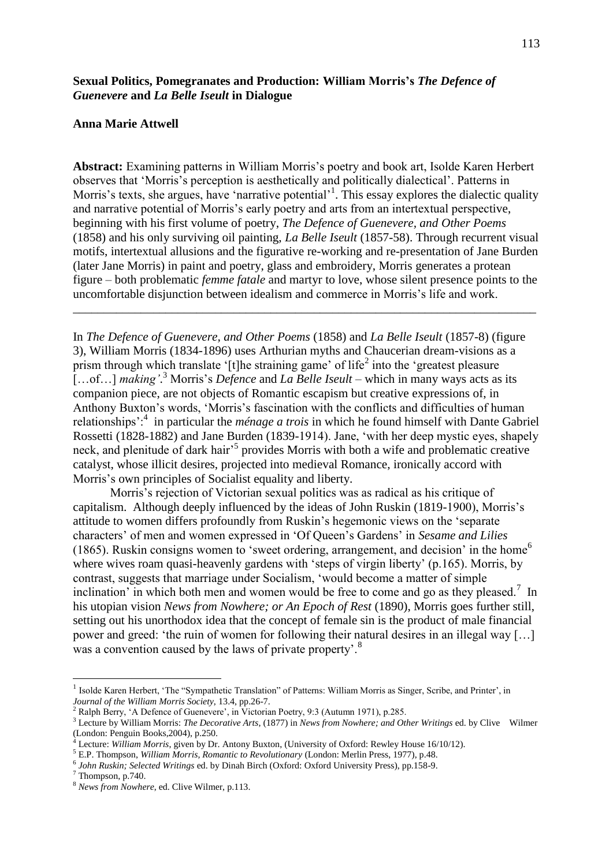# **Sexual Politics, Pomegranates and Production: William Morris's** *The Defence of Guenevere* **and** *La Belle Iseult* **in Dialogue**

#### **Anna Marie Attwell**

**Abstract:** Examining patterns in William Morris's poetry and book art, Isolde Karen Herbert observes that 'Morris's perception is aesthetically and politically dialectical'. Patterns in Morris's texts, she argues, have 'narrative potential'<sup>1</sup>. This essay explores the dialectic quality and narrative potential of Morris's early poetry and arts from an intertextual perspective, beginning with his first volume of poetry, *The Defence of Guenevere, and Other Poems*  (1858) and his only surviving oil painting, *La Belle Iseult* (1857-58). Through recurrent visual motifs, intertextual allusions and the figurative re-working and re-presentation of Jane Burden (later Jane Morris) in paint and poetry, glass and embroidery, Morris generates a protean figure – both problematic *femme fatale* and martyr to love, whose silent presence points to the uncomfortable disjunction between idealism and commerce in Morris's life and work.

\_\_\_\_\_\_\_\_\_\_\_\_\_\_\_\_\_\_\_\_\_\_\_\_\_\_\_\_\_\_\_\_\_\_\_\_\_\_\_\_\_\_\_\_\_\_\_\_\_\_\_\_\_\_\_\_\_\_\_\_\_\_\_\_\_\_\_\_\_\_\_\_\_\_\_

In *The Defence of Guenevere, and Other Poems* (1858) and *La Belle Iseult* (1857-8) (figure 3), William Morris (1834-1896) uses Arthurian myths and Chaucerian dream-visions as a prism through which translate '[t]he straining game' of life<sup>2</sup> into the 'greatest pleasure […of…] *making'*. <sup>3</sup> Morris's *Defence* and *La Belle Iseult* – which in many ways acts as its companion piece, are not objects of Romantic escapism but creative expressions of, in Anthony Buxton's words, 'Morris's fascination with the conflicts and difficulties of human relationships':<sup>4</sup> in particular the *ménage a trois* in which he found himself with Dante Gabriel Rossetti (1828-1882) and Jane Burden (1839-1914). Jane, 'with her deep mystic eyes, shapely neck, and plenitude of dark hair<sup>5</sup> provides Morris with both a wife and problematic creative catalyst, whose illicit desires, projected into medieval Romance, ironically accord with Morris's own principles of Socialist equality and liberty.

Morris's rejection of Victorian sexual politics was as radical as his critique of capitalism. Although deeply influenced by the ideas of John Ruskin (1819-1900), Morris's attitude to women differs profoundly from Ruskin's hegemonic views on the 'separate characters' of men and women expressed in 'Of Queen's Gardens' in *Sesame and Lilies* (1865). Ruskin consigns women to 'sweet ordering, arrangement, and decision' in the home<sup>6</sup> where wives roam quasi-heavenly gardens with 'steps of virgin liberty' (p.165). Morris, by contrast, suggests that marriage under Socialism, 'would become a matter of simple inclination' in which both men and women would be free to come and go as they pleased.<sup>7</sup> In his utopian vision *News from Nowhere; or An Epoch of Rest* (1890), Morris goes further still, setting out his unorthodox idea that the concept of female sin is the product of male financial power and greed: 'the ruin of women for following their natural desires in an illegal way […] was a convention caused by the laws of private property'.<sup>8</sup>

<sup>&</sup>lt;sup>1</sup> Isolde Karen Herbert, 'The "Sympathetic Translation" of Patterns: William Morris as Singer, Scribe, and Printer', in *Journal of the William Morris Society*, 13.4, pp.26-7.

<sup>2</sup> Ralph Berry, 'A Defence of Guenevere', in Victorian Poetry, 9:3 (Autumn 1971), p.285.

<sup>3</sup> Lecture by William Morris: *The Decorative Arts*, (1877) in *News from Nowhere; and Other Writings* ed. by Clive Wilmer (London: Penguin Books,2004), p.250.

<sup>4</sup> Lecture: *William Morris*, given by Dr. Antony Buxton, (University of Oxford: Rewley House 16/10/12).

<sup>5</sup> E.P. Thompson, *William Morris, Romantic to Revolutionary* (London: Merlin Press, 1977), p.48.

<sup>6</sup> *John Ruskin; Selected Writings* ed. by Dinah Birch (Oxford: Oxford University Press), pp.158-9.

<sup>7</sup> Thompson, p.740.

<sup>8</sup> *News from Nowhere*, ed. Clive Wilmer, p.113.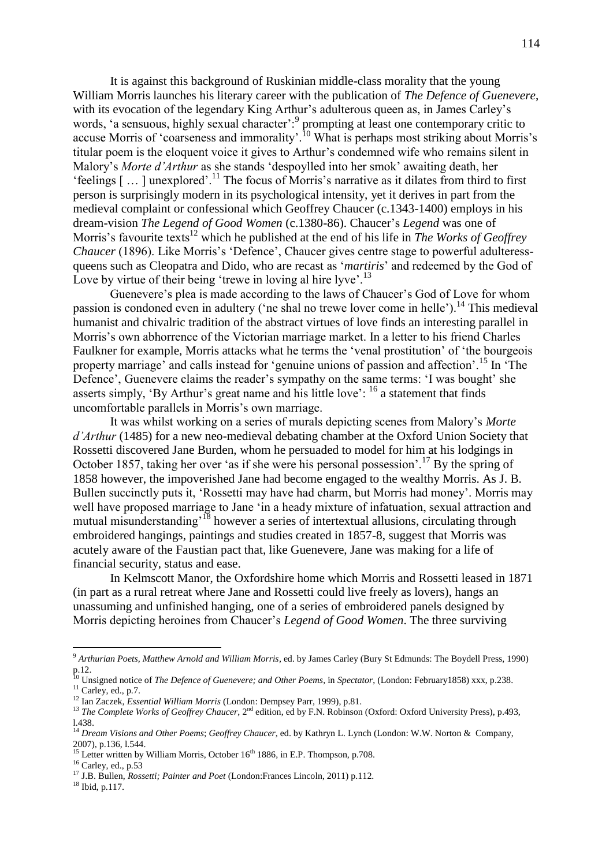It is against this background of Ruskinian middle-class morality that the young William Morris launches his literary career with the publication of *The Defence of Guenevere*, with its evocation of the legendary King Arthur's adulterous queen as, in James Carley's words, 'a sensuous, highly sexual character': prompting at least one contemporary critic to accuse Morris of 'coarseness and immorality'.<sup>10</sup> What is perhaps most striking about Morris's titular poem is the eloquent voice it gives to Arthur's condemned wife who remains silent in Malory's *Morte d'Arthur* as she stands 'despoylled into her smok' awaiting death, her 'feelings [ … ] unexplored'.<sup>11</sup> The focus of Morris's narrative as it dilates from third to first person is surprisingly modern in its psychological intensity, yet it derives in part from the medieval complaint or confessional which Geoffrey Chaucer (c.1343-1400) employs in his dream-vision *The Legend of Good Women* (c.1380-86). Chaucer's *Legend* was one of Morris's favourite texts<sup>12</sup> which he published at the end of his life in *The Works of Geoffrey Chaucer* (1896). Like Morris's 'Defence', Chaucer gives centre stage to powerful adulteressqueens such as Cleopatra and Dido, who are recast as '*martiris*' and redeemed by the God of Love by virtue of their being 'trewe in loving al hire lyve'.<sup>13</sup>

Guenevere's plea is made according to the laws of Chaucer's God of Love for whom passion is condoned even in adultery ('ne shal no trewe lover come in helle').<sup>14</sup> This medieval humanist and chivalric tradition of the abstract virtues of love finds an interesting parallel in Morris's own abhorrence of the Victorian marriage market. In a letter to his friend Charles Faulkner for example, Morris attacks what he terms the 'venal prostitution' of 'the bourgeois property marriage' and calls instead for 'genuine unions of passion and affection'.<sup>15</sup> In 'The Defence', Guenevere claims the reader's sympathy on the same terms: 'I was bought' she asserts simply, 'By Arthur's great name and his little love':  $^{16}$  a statement that finds uncomfortable parallels in Morris's own marriage.

It was whilst working on a series of murals depicting scenes from Malory's *Morte d'Arthur* (1485) for a new neo-medieval debating chamber at the Oxford Union Society that Rossetti discovered Jane Burden, whom he persuaded to model for him at his lodgings in October 1857, taking her over 'as if she were his personal possession'.<sup>17</sup> By the spring of 1858 however, the impoverished Jane had become engaged to the wealthy Morris. As J. B. Bullen succinctly puts it, 'Rossetti may have had charm, but Morris had money'. Morris may well have proposed marriage to Jane 'in a heady mixture of infatuation, sexual attraction and mutual misunderstanding'<sup>18</sup> however a series of intertextual allusions, circulating through embroidered hangings, paintings and studies created in 1857-8, suggest that Morris was acutely aware of the Faustian pact that, like Guenevere, Jane was making for a life of financial security, status and ease.

In Kelmscott Manor, the Oxfordshire home which Morris and Rossetti leased in 1871 (in part as a rural retreat where Jane and Rossetti could live freely as lovers), hangs an unassuming and unfinished hanging, one of a series of embroidered panels designed by Morris depicting heroines from Chaucer's *Legend of Good Women*. The three surviving

<sup>9</sup> *Arthurian Poets, Matthew Arnold and William Morris*, ed. by James Carley (Bury St Edmunds: The Boydell Press, 1990) p.12.

<sup>10</sup> Unsigned notice of *The Defence of Guenevere; and Other Poems*, in *Spectator*, (London: February1858) xxx, p.238.  $11$  Carley, ed., p.7.

<sup>12</sup> Ian Zaczek, *Essential William Morris* (London: Dempsey Parr, 1999), p.81.

<sup>&</sup>lt;sup>13</sup> *The Complete Works of Geoffrey Chaucer*, 2<sup>nd</sup> edition, ed by F.N. Robinson (Oxford: Oxford University Press), p.493, l.438.

<sup>14</sup> *Dream Visions and Other Poems*; *Geoffrey Chaucer*, ed. by Kathryn L. Lynch (London: W.W. Norton & Company, 2007), p.136, l.544. 2007), p.136, 1.544.<br><sup>15</sup> Letter written by William Morris, October 16<sup>th</sup> 1886, in E.P. Thompson, p.708.

 $16$  Carley, ed., p.53

<sup>17</sup> J.B. Bullen, *Rossetti; Painter and Poet* (London:Frances Lincoln, 2011) p.112.

<sup>18</sup> Ibid, p.117.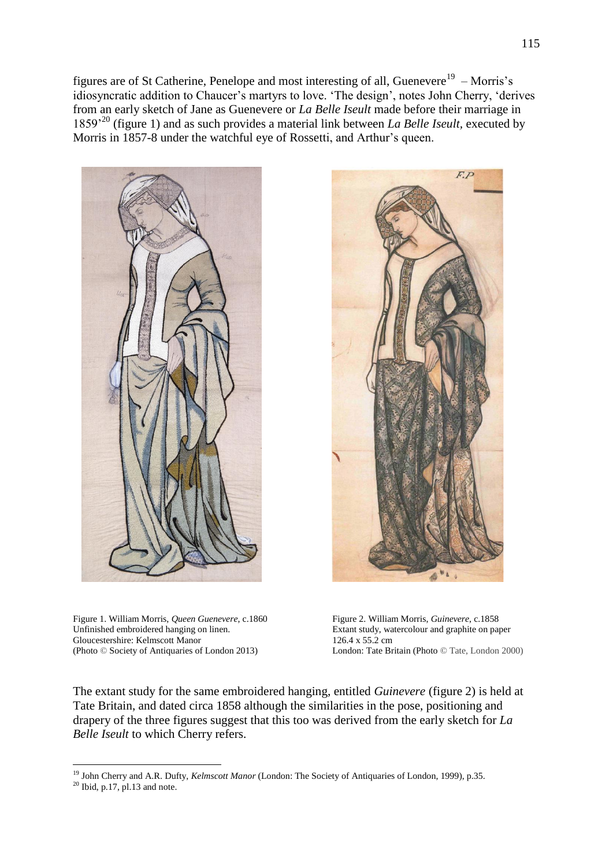figures are of St Catherine, Penelope and most interesting of all, Guenevere<sup>19</sup> – Morris's idiosyncratic addition to Chaucer's martyrs to love. 'The design', notes John Cherry, 'derives from an early sketch of Jane as Guenevere or *La Belle Iseult* made before their marriage in 1859'<sup>20</sup> (figure 1) and as such provides a material link between *La Belle Iseult,* executed by Morris in 1857-8 under the watchful eye of Rossetti, and Arthur's queen.



Figure 1. William Morris, *Queen Guenevere*, c.1860 Figure 2. William Morris, *Guinevere*, c.1858 Unfinished embroidered hanging on linen. Extant study, watercolour and graphite on paper Gloucestershire: Kelmscott Manor 126.4 x 55.2 cm (Photo © Society of Antiquaries of London 2013) London: Tate Britain (Photo © Tate, London 2000)



The extant study for the same embroidered hanging, entitled *Guinevere* (figure 2) is held at Tate Britain, and dated circa 1858 although the similarities in the pose, positioning and drapery of the three figures suggest that this too was derived from the early sketch for *La Belle Iseult* to which Cherry refers.

<sup>19</sup> John Cherry and A.R. Dufty, *Kelmscott Manor* (London: The Society of Antiquaries of London, 1999), p.35.

 $20$  Ibid, p.17, pl.13 and note.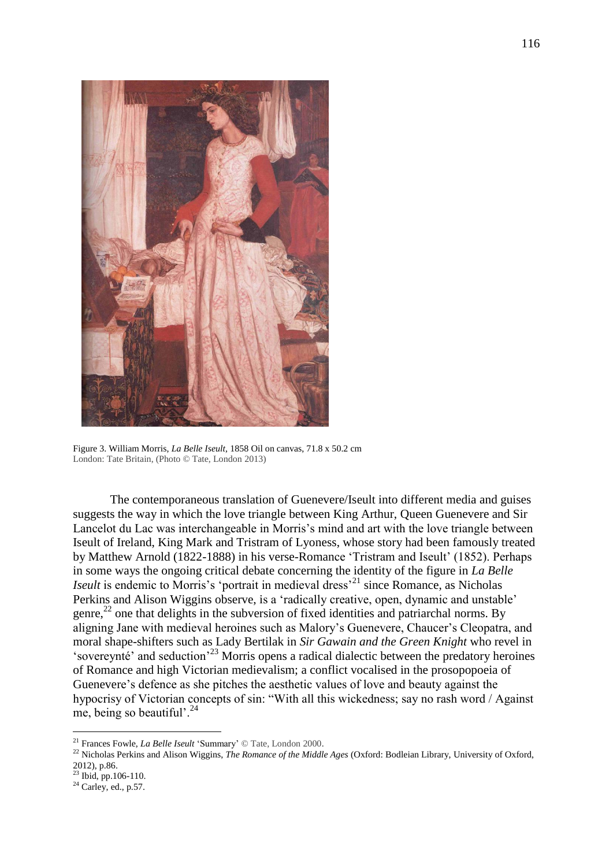

Figure 3. William Morris, *La Belle Iseult,* 1858 Oil on canvas, 71.8 x 50.2 cm London: Tate Britain, (Photo © Tate, London 2013)

The contemporaneous translation of Guenevere/Iseult into different media and guises suggests the way in which the love triangle between King Arthur, Queen Guenevere and Sir Lancelot du Lac was interchangeable in Morris's mind and art with the love triangle between Iseult of Ireland, King Mark and Tristram of Lyoness, whose story had been famously treated by Matthew Arnold (1822-1888) in his verse-Romance 'Tristram and Iseult' (1852). Perhaps in some ways the ongoing critical debate concerning the identity of the figure in *La Belle Iseult* is endemic to Morris's 'portrait in medieval dress'<sup>21</sup> since Romance, as Nicholas Perkins and Alison Wiggins observe, is a 'radically creative, open, dynamic and unstable' genre, <sup>22</sup> one that delights in the subversion of fixed identities and patriarchal norms. By aligning Jane with medieval heroines such as Malory's Guenevere, Chaucer's Cleopatra, and moral shape-shifters such as Lady Bertilak in *Sir Gawain and the Green Knight* who revel in 'sovereynté' and seduction'<sup>23</sup> Morris opens a radical dialectic between the predatory heroines of Romance and high Victorian medievalism; a conflict vocalised in the prosopopoeia of Guenevere's defence as she pitches the aesthetic values of love and beauty against the hypocrisy of Victorian concepts of sin: "With all this wickedness; say no rash word / Against me, being so beautiful'.<sup>24</sup>

<sup>21</sup> Frances Fowle, *La Belle Iseult* 'Summary' © Tate, London 2000.

<sup>22</sup> Nicholas Perkins and Alison Wiggins, *The Romance of the Middle Ages* (Oxford: Bodleian Library, University of Oxford, 2012), p.86.

 $23$  Ibid, pp.106-110.

 $24$  Carley, ed., p.57.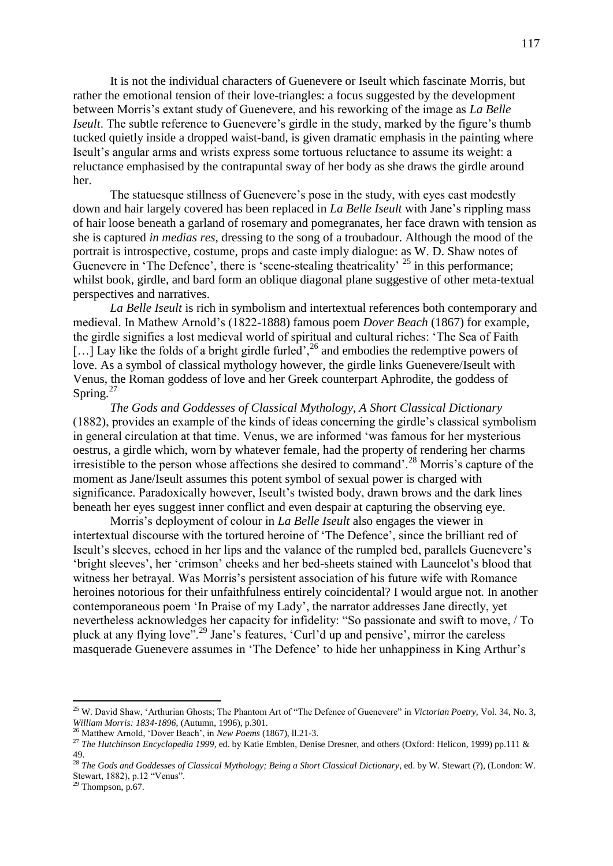It is not the individual characters of Guenevere or Iseult which fascinate Morris, but rather the emotional tension of their love-triangles: a focus suggested by the development between Morris's extant study of Guenevere, and his reworking of the image as *La Belle Iseult*. The subtle reference to Guenevere's girdle in the study, marked by the figure's thumb tucked quietly inside a dropped waist-band, is given dramatic emphasis in the painting where Iseult's angular arms and wrists express some tortuous reluctance to assume its weight: a reluctance emphasised by the contrapuntal sway of her body as she draws the girdle around her.

The statuesque stillness of Guenevere's pose in the study, with eyes cast modestly down and hair largely covered has been replaced in *La Belle Iseult* with Jane's rippling mass of hair loose beneath a garland of rosemary and pomegranates, her face drawn with tension as she is captured *in medias res*, dressing to the song of a troubadour. Although the mood of the portrait is introspective, costume, props and caste imply dialogue: as W. D. Shaw notes of Guenevere in 'The Defence', there is 'scene-stealing theatricality'  $^{25}$  in this performance; whilst book, girdle, and bard form an oblique diagonal plane suggestive of other meta-textual perspectives and narratives.

*La Belle Iseult* is rich in symbolism and intertextual references both contemporary and medieval. In Mathew Arnold's (1822-1888) famous poem *Dover Beach* (1867) for example, the girdle signifies a lost medieval world of spiritual and cultural riches: 'The Sea of Faith [...] Lay like the folds of a bright girdle furled',<sup>26</sup> and embodies the redemptive powers of love. As a symbol of classical mythology however, the girdle links Guenevere/Iseult with Venus, the Roman goddess of love and her Greek counterpart Aphrodite, the goddess of Spring. $27$ 

*The Gods and Goddesses of Classical Mythology, A Short Classical Dictionary* (1882), provides an example of the kinds of ideas concerning the girdle's classical symbolism in general circulation at that time. Venus, we are informed 'was famous for her mysterious oestrus, a girdle which, worn by whatever female, had the property of rendering her charms irresistible to the person whose affections she desired to command'.<sup>28</sup> Morris's capture of the moment as Jane/Iseult assumes this potent symbol of sexual power is charged with significance. Paradoxically however, Iseult's twisted body, drawn brows and the dark lines beneath her eyes suggest inner conflict and even despair at capturing the observing eye.

Morris's deployment of colour in *La Belle Iseult* also engages the viewer in intertextual discourse with the tortured heroine of 'The Defence', since the brilliant red of Iseult's sleeves, echoed in her lips and the valance of the rumpled bed, parallels Guenevere's 'bright sleeves', her 'crimson' cheeks and her bed-sheets stained with Launcelot's blood that witness her betrayal. Was Morris's persistent association of his future wife with Romance heroines notorious for their unfaithfulness entirely coincidental? I would argue not. In another contemporaneous poem 'In Praise of my Lady', the narrator addresses Jane directly, yet nevertheless acknowledges her capacity for infidelity: "So passionate and swift to move, / To pluck at any flying love".<sup>29</sup> Jane's features, 'Curl'd up and pensive', mirror the careless masquerade Guenevere assumes in 'The Defence' to hide her unhappiness in King Arthur's

 $^{29}$  Thompson, p.67.

<sup>25</sup> W. David Shaw, 'Arthurian Ghosts; The Phantom Art of "The Defence of Guenevere" in *Victorian Poetry*, Vol. 34, No. 3, *William Morris: 1834-1896*, (Autumn, 1996), p.301.

<sup>&</sup>lt;sup>26</sup> Matthew Arnold, 'Dover Beach', in *New Poems* (1867), ll.21-3.

<sup>27</sup> *The Hutchinson Encyclopedia 1999*, ed. by Katie Emblen, Denise Dresner, and others (Oxford: Helicon, 1999) pp.111 & 49.

<sup>28</sup> *The Gods and Goddesses of Classical Mythology; Being a Short Classical Dictionary*, ed. by W. Stewart (?), (London: W. Stewart, 1882), p.12 "Venus".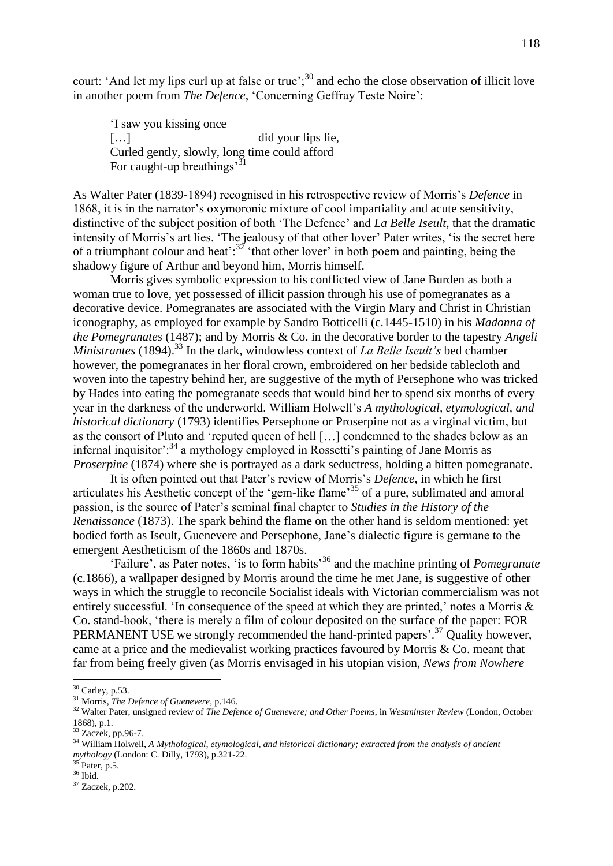court: 'And let my lips curl up at false or true';<sup>30</sup> and echo the close observation of illicit love in another poem from *The Defence*, 'Concerning Geffray Teste Noire':

'I saw you kissing once [...] did your lips lie, Curled gently, slowly, long time could afford For caught-up breathings<sup>31</sup>

As Walter Pater (1839-1894) recognised in his retrospective review of Morris's *Defence* in 1868, it is in the narrator's oxymoronic mixture of cool impartiality and acute sensitivity, distinctive of the subject position of both 'The Defence' and *La Belle Iseult*, that the dramatic intensity of Morris's art lies. 'The jealousy of that other lover' Pater writes, 'is the secret here of a triumphant colour and heat': $3^{2}$ ' that other lover' in both poem and painting, being the shadowy figure of Arthur and beyond him, Morris himself.

Morris gives symbolic expression to his conflicted view of Jane Burden as both a woman true to love, yet possessed of illicit passion through his use of pomegranates as a decorative device. Pomegranates are associated with the Virgin Mary and Christ in Christian iconography, as employed for example by Sandro Botticelli (c.1445-1510) in his *Madonna of the Pomegranates* (1487); and by Morris & Co. in the decorative border to the tapestry *Angeli Ministrantes* (1894).<sup>33</sup> In the dark, windowless context of *La Belle Iseult's* bed chamber however, the pomegranates in her floral crown, embroidered on her bedside tablecloth and woven into the tapestry behind her, are suggestive of the myth of Persephone who was tricked by Hades into eating the pomegranate seeds that would bind her to spend six months of every year in the darkness of the underworld. William Holwell's *A mythological, etymological, and historical dictionary* (1793) identifies Persephone or Proserpine not as a virginal victim, but as the consort of Pluto and 'reputed queen of hell […] condemned to the shades below as an infernal inquisitor': $34$  a mythology employed in Rossetti's painting of Jane Morris as *Proserpine* (1874) where she is portrayed as a dark seductress, holding a bitten pomegranate.

It is often pointed out that Pater's review of Morris's *Defence*, in which he first articulates his Aesthetic concept of the 'gem-like flame'<sup>35</sup> of a pure, sublimated and amoral passion, is the source of Pater's seminal final chapter to *Studies in the History of the Renaissance* (1873). The spark behind the flame on the other hand is seldom mentioned: yet bodied forth as Iseult, Guenevere and Persephone, Jane's dialectic figure is germane to the emergent Aestheticism of the 1860s and 1870s.

'Failure', as Pater notes, 'is to form habits'<sup>36</sup> and the machine printing of *Pomegranate* (c.1866), a wallpaper designed by Morris around the time he met Jane, is suggestive of other ways in which the struggle to reconcile Socialist ideals with Victorian commercialism was not entirely successful. 'In consequence of the speed at which they are printed,' notes a Morris  $\&$ Co. stand-book, 'there is merely a film of colour deposited on the surface of the paper: FOR PERMANENT USE we strongly recommended the hand-printed papers'.<sup>37</sup> Quality however, came at a price and the medievalist working practices favoured by Morris & Co. meant that far from being freely given (as Morris envisaged in his utopian vision, *News from Nowhere*

 $30$  Carley, p.53.

<sup>31</sup> Morris, *The Defence of Guenevere*, p.146.

<sup>&</sup>lt;sup>32</sup> Walter Pater, unsigned review of *The Defence of Guenevere; and Other Poems*, in *Westminster Review* (London, October 1868), p.1.

 $33$  Zaczek, pp.96-7.

<sup>34</sup> William Holwell, *A Mythological, etymological, and historical dictionary; extracted from the analysis of ancient mythology* (London: C. Dilly, 1793), p.321-22.

 $35$  Pater, p.5.

 $^{36}$  Ibid.

<sup>37</sup> Zaczek, p.202.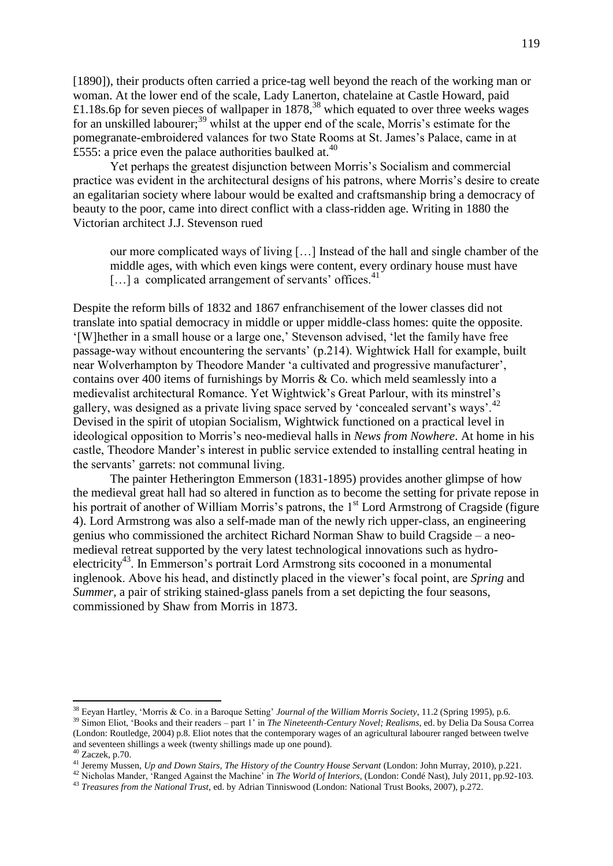[1890]), their products often carried a price-tag well beyond the reach of the working man or woman. At the lower end of the scale, Lady Lanerton, chatelaine at Castle Howard, paid £1.18s.6p for seven pieces of wallpaper in  $1878<sup>38</sup>$  which equated to over three weeks wages for an unskilled labourer;<sup>39</sup> whilst at the upper end of the scale, Morris's estimate for the pomegranate-embroidered valances for two State Rooms at St. James's Palace, came in at £555: a price even the palace authorities baulked at.<sup>40</sup>

Yet perhaps the greatest disjunction between Morris's Socialism and commercial practice was evident in the architectural designs of his patrons, where Morris's desire to create an egalitarian society where labour would be exalted and craftsmanship bring a democracy of beauty to the poor, came into direct conflict with a class-ridden age. Writing in 1880 the Victorian architect J.J. Stevenson rued

our more complicated ways of living […] Instead of the hall and single chamber of the middle ages, with which even kings were content, every ordinary house must have  $[...]$  a complicated arrangement of servants' offices.<sup>41</sup>

Despite the reform bills of 1832 and 1867 enfranchisement of the lower classes did not translate into spatial democracy in middle or upper middle-class homes: quite the opposite. '[W]hether in a small house or a large one,' Stevenson advised, 'let the family have free passage-way without encountering the servants' (p.214). Wightwick Hall for example, built near Wolverhampton by Theodore Mander 'a cultivated and progressive manufacturer', contains over 400 items of furnishings by Morris & Co. which meld seamlessly into a medievalist architectural Romance. Yet Wightwick's Great Parlour, with its minstrel's gallery, was designed as a private living space served by 'concealed servant's ways'.<sup>42</sup> Devised in the spirit of utopian Socialism, Wightwick functioned on a practical level in ideological opposition to Morris's neo-medieval halls in *News from Nowhere*. At home in his castle, Theodore Mander's interest in public service extended to installing central heating in the servants' garrets: not communal living.

The painter Hetherington Emmerson (1831-1895) provides another glimpse of how the medieval great hall had so altered in function as to become the setting for private repose in his portrait of another of William Morris's patrons, the 1<sup>st</sup> Lord Armstrong of Cragside (figure 4). Lord Armstrong was also a self-made man of the newly rich upper-class, an engineering genius who commissioned the architect Richard Norman Shaw to build Cragside – a neomedieval retreat supported by the very latest technological innovations such as hydroelectricity<sup>43</sup>. In Emmerson's portrait Lord Armstrong sits cocooned in a monumental inglenook. Above his head, and distinctly placed in the viewer's focal point, are *Spring* and *Summer, a pair of striking stained-glass panels from a set depicting the four seasons,* commissioned by Shaw from Morris in 1873.

<sup>38</sup> Eeyan Hartley, 'Morris & Co. in a Baroque Setting' *Journal of the William Morris Society*, 11.2 (Spring 1995), p.6.

<sup>&</sup>lt;sup>39</sup> Simon Eliot, 'Books and their readers – part 1' in *The Nineteenth-Century Novel; Realisms*, ed. by Delia Da Sousa Correa (London: Routledge, 2004) p.8. Eliot notes that the contemporary wages of an agricultural labourer ranged between twelve and seventeen shillings a week (twenty shillings made up one pound).

 $40$  Zaczek, p.70.

<sup>41</sup> Jeremy Mussen, *Up and Down Stairs, The History of the Country House Servant* (London: John Murray, 2010), p.221.

<sup>42</sup> Nicholas Mander, 'Ranged Against the Machine' in *The World of Interiors*, (London: Condé Nast), July 2011, pp.92-103.

<sup>43</sup> *Treasures from the National Trust*, ed. by Adrian Tinniswood (London: National Trust Books, 2007), p.272.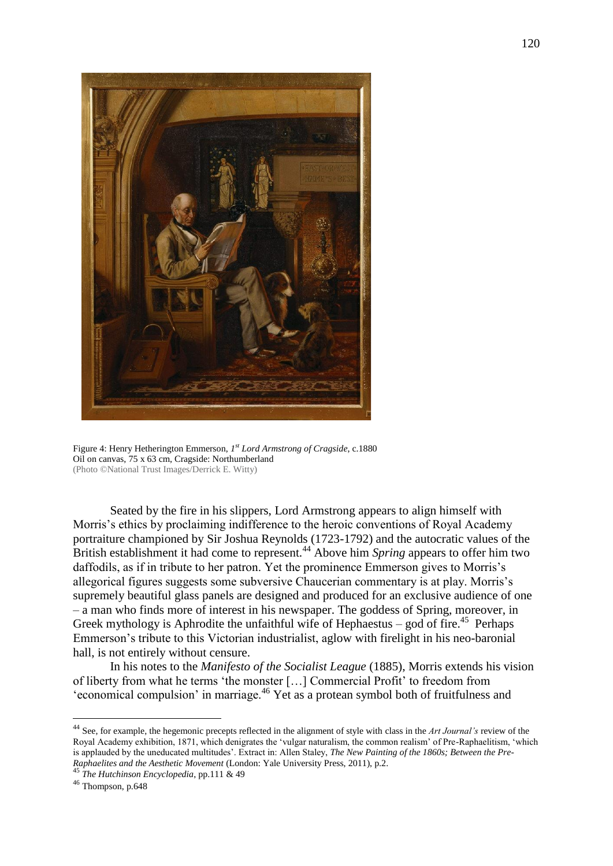

Figure 4: Henry Hetherington Emmerson, *1 st Lord Armstrong of Cragside*, c.1880 Oil on canvas, 75 x 63 cm, Cragside: Northumberland (Photo ©National Trust Images/Derrick E. Witty)

Seated by the fire in his slippers, Lord Armstrong appears to align himself with Morris's ethics by proclaiming indifference to the heroic conventions of Royal Academy portraiture championed by Sir Joshua Reynolds (1723-1792) and the autocratic values of the British establishment it had come to represent.<sup>44</sup> Above him *Spring* appears to offer him two daffodils, as if in tribute to her patron. Yet the prominence Emmerson gives to Morris's allegorical figures suggests some subversive Chaucerian commentary is at play. Morris's supremely beautiful glass panels are designed and produced for an exclusive audience of one – a man who finds more of interest in his newspaper. The goddess of Spring, moreover, in Greek mythology is Aphrodite the unfaithful wife of Hephaestus  $-$  god of fire.<sup>45</sup> Perhaps Emmerson's tribute to this Victorian industrialist, aglow with firelight in his neo-baronial hall, is not entirely without censure.

In his notes to the *Manifesto of the Socialist League* (1885), Morris extends his vision of liberty from what he terms 'the monster […] Commercial Profit' to freedom from 'economical compulsion' in marriage.<sup>46</sup> Yet as a protean symbol both of fruitfulness and

<sup>44</sup> See, for example, the hegemonic precepts reflected in the alignment of style with class in the *Art Journal's* review of the Royal Academy exhibition, 1871, which denigrates the 'vulgar naturalism, the common realism' of Pre-Raphaelitism, 'which is applauded by the uneducated multitudes'. Extract in: Allen Staley, *The New Painting of the 1860s; Between the Pre-Raphaelites and the Aesthetic Movement* (London: Yale University Press, 2011), p.2.

<sup>45</sup> *The Hutchinson Encyclopedia*, pp.111 & 49

<sup>46</sup> Thompson, p.648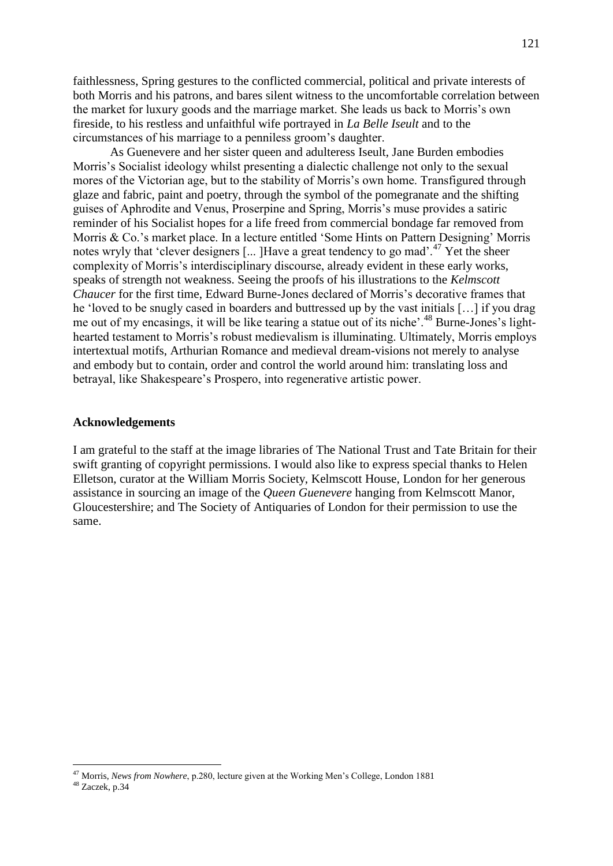faithlessness, Spring gestures to the conflicted commercial, political and private interests of both Morris and his patrons, and bares silent witness to the uncomfortable correlation between the market for luxury goods and the marriage market. She leads us back to Morris's own fireside, to his restless and unfaithful wife portrayed in *La Belle Iseult* and to the circumstances of his marriage to a penniless groom's daughter.

As Guenevere and her sister queen and adulteress Iseult, Jane Burden embodies Morris's Socialist ideology whilst presenting a dialectic challenge not only to the sexual mores of the Victorian age, but to the stability of Morris's own home. Transfigured through glaze and fabric, paint and poetry, through the symbol of the pomegranate and the shifting guises of Aphrodite and Venus, Proserpine and Spring, Morris's muse provides a satiric reminder of his Socialist hopes for a life freed from commercial bondage far removed from Morris & Co.'s market place. In a lecture entitled 'Some Hints on Pattern Designing' Morris notes wryly that 'clever designers [...] Have a great tendency to go mad'.<sup>47</sup> Yet the sheer complexity of Morris's interdisciplinary discourse, already evident in these early works, speaks of strength not weakness. Seeing the proofs of his illustrations to the *Kelmscott Chaucer* for the first time, Edward Burne-Jones declared of Morris's decorative frames that he 'loved to be snugly cased in boarders and buttressed up by the vast initials […] if you drag me out of my encasings, it will be like tearing a statue out of its niche'.<sup>48</sup> Burne-Jones's lighthearted testament to Morris's robust medievalism is illuminating. Ultimately, Morris employs intertextual motifs, Arthurian Romance and medieval dream-visions not merely to analyse and embody but to contain, order and control the world around him: translating loss and betrayal, like Shakespeare's Prospero, into regenerative artistic power.

# **Acknowledgements**

I am grateful to the staff at the image libraries of The National Trust and Tate Britain for their swift granting of copyright permissions. I would also like to express special thanks to Helen Elletson, curator at the William Morris Society, Kelmscott House, London for her generous assistance in sourcing an image of the *Queen Guenevere* hanging from Kelmscott Manor, Gloucestershire; and The Society of Antiquaries of London for their permission to use the same.

<sup>47</sup> Morris, *News from Nowhere*, p.280, lecture given at the Working Men's College, London 1881

<sup>48</sup> Zaczek, p.34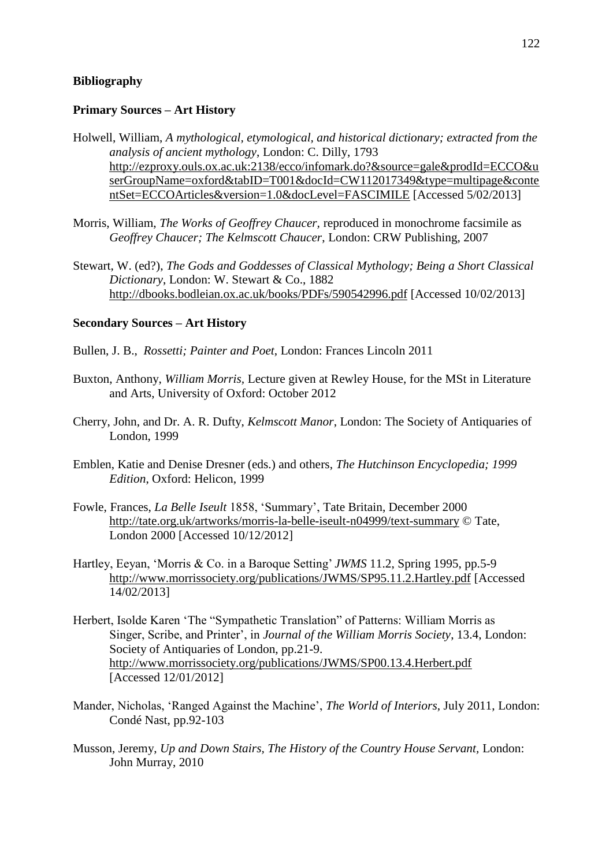## **Bibliography**

### **Primary Sources – Art History**

- Holwell, William, *A mythological, etymological, and historical dictionary; extracted from the analysis of ancient mythology*, London: C. Dilly, 1793 [http://ezproxy.ouls.ox.ac.uk:2138/ecco/infomark.do?&source=gale&prodId=ECCO&u](http://ezproxy.ouls.ox.ac.uk:2138/ecco/infomark.do?&source=gale&prodId=ECCO&userGroupName=oxford&tabID=T001&docId=CW112017349&type=multipage&contentSet=ECCOArticles&version=1.0&docLevel=FASCIMILE) [serGroupName=oxford&tabID=T001&docId=CW112017349&type=multipage&conte](http://ezproxy.ouls.ox.ac.uk:2138/ecco/infomark.do?&source=gale&prodId=ECCO&userGroupName=oxford&tabID=T001&docId=CW112017349&type=multipage&contentSet=ECCOArticles&version=1.0&docLevel=FASCIMILE) [ntSet=ECCOArticles&version=1.0&docLevel=FASCIMILE](http://ezproxy.ouls.ox.ac.uk:2138/ecco/infomark.do?&source=gale&prodId=ECCO&userGroupName=oxford&tabID=T001&docId=CW112017349&type=multipage&contentSet=ECCOArticles&version=1.0&docLevel=FASCIMILE) [Accessed 5/02/2013]
- Morris, William, *The Works of Geoffrey Chaucer,* reproduced in monochrome facsimile as *Geoffrey Chaucer; The Kelmscott Chaucer*, London: CRW Publishing, 2007
- Stewart, W. (ed?), *The Gods and Goddesses of Classical Mythology; Being a Short Classical Dictionary*, London: W. Stewart & Co., 1882 <http://dbooks.bodleian.ox.ac.uk/books/PDFs/590542996.pdf> [Accessed 10/02/2013]

### **Secondary Sources – Art History**

Bullen, J. B., *Rossetti; Painter and Poet*, London: Frances Lincoln 2011

- Buxton, Anthony, *William Morris,* Lecture given at Rewley House, for the MSt in Literature and Arts, University of Oxford: October 2012
- Cherry, John, and Dr. A. R. Dufty, *Kelmscott Manor*, London: The Society of Antiquaries of London, 1999
- Emblen, Katie and Denise Dresner (eds.) and others, *The Hutchinson Encyclopedia; 1999 Edition*, Oxford: Helicon, 1999
- Fowle, Frances, *La Belle Iseult* 1858, 'Summary', Tate Britain, December 2000 <http://tate.org.uk/artworks/morris-la-belle-iseult-n04999/text-summary> © Tate, London 2000 [Accessed 10/12/2012]
- Hartley, Eeyan, 'Morris & Co. in a Baroque Setting' *JWMS* 11.2, Spring 1995, pp.5-9 <http://www.morrissociety.org/publications/JWMS/SP95.11.2.Hartley.pdf> [Accessed 14/02/2013]
- Herbert, Isolde Karen 'The "Sympathetic Translation" of Patterns: William Morris as Singer, Scribe, and Printer', in *Journal of the William Morris Society*, 13.4, London: Society of Antiquaries of London, pp.21-9. <http://www.morrissociety.org/publications/JWMS/SP00.13.4.Herbert.pdf> [Accessed 12/01/2012]
- Mander, Nicholas, 'Ranged Against the Machine', *The World of Interiors*, July 2011, London: Condé Nast, pp.92-103
- Musson, Jeremy, *Up and Down Stairs, The History of the Country House Servant,* London: John Murray, 2010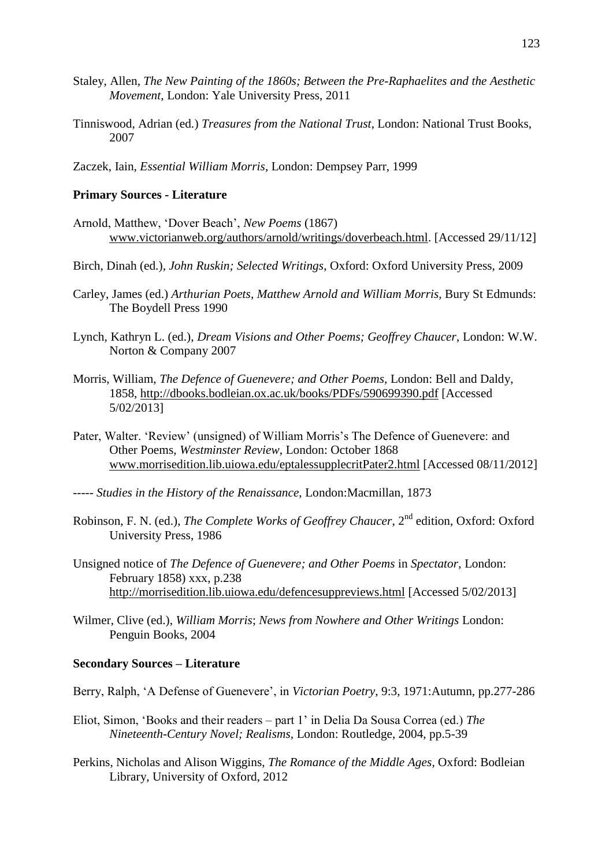- Staley, Allen, *The New Painting of the 1860s; Between the Pre-Raphaelites and the Aesthetic Movement*, London: Yale University Press, 2011
- Tinniswood, Adrian (ed.) *Treasures from the National Trust*, London: National Trust Books, 2007
- Zaczek, Iain, *Essential William Morris*, London: Dempsey Parr, 1999

#### **Primary Sources - Literature**

- Arnold, Matthew, 'Dover Beach', *New Poems* (1867) [www.victorianweb.org/authors/arnold/writings/doverbeach.html.](http://www.victorianweb.org/authors/arnold/writings/doverbeach.html) [Accessed 29/11/12]
- Birch, Dinah (ed.), *John Ruskin; Selected Writings*, Oxford: Oxford University Press, 2009
- Carley, James (ed.) *Arthurian Poets*, *Matthew Arnold and William Morris,* Bury St Edmunds: The Boydell Press 1990
- Lynch, Kathryn L. (ed.), *Dream Visions and Other Poems; Geoffrey Chaucer*, London: W.W. Norton & Company 2007
- Morris, William, *The Defence of Guenevere; and Other Poems,* London: Bell and Daldy, 1858,<http://dbooks.bodleian.ox.ac.uk/books/PDFs/590699390.pdf> [Accessed 5/02/2013]
- Pater, Walter. 'Review' (unsigned) of William Morris's The Defence of Guenevere: and Other Poems, *Westminster Review*, London: October 1868 [www.morrisedition.lib.uiowa.edu/eptalessupplecritPater2.html](http://www.morrisedition.lib.uiowa.edu/eptalessupplecritPater2.html) [Accessed 08/11/2012]
- ----- *Studies in the History of the Renaissance*, London:Macmillan, 1873
- Robinson, F. N. (ed.), *The Complete Works of Geoffrey Chaucer*, 2nd edition, Oxford: Oxford University Press, 1986
- Unsigned notice of *The Defence of Guenevere; and Other Poems* in *Spectator*, London: February 1858) xxx, p.238 <http://morrisedition.lib.uiowa.edu/defencesuppreviews.html> [Accessed 5/02/2013]
- Wilmer, Clive (ed.), *William Morris*; *News from Nowhere and Other Writings* London: Penguin Books, 2004

## **Secondary Sources – Literature**

- Berry, Ralph, 'A Defense of Guenevere', in *Victorian Poetry*, 9:3, 1971:Autumn, pp.277-286
- Eliot, Simon, 'Books and their readers part 1' in Delia Da Sousa Correa (ed.) *The Nineteenth-Century Novel; Realisms,* London: Routledge, 2004, pp.5-39
- Perkins, Nicholas and Alison Wiggins, *The Romance of the Middle Ages*, Oxford: Bodleian Library, University of Oxford, 2012